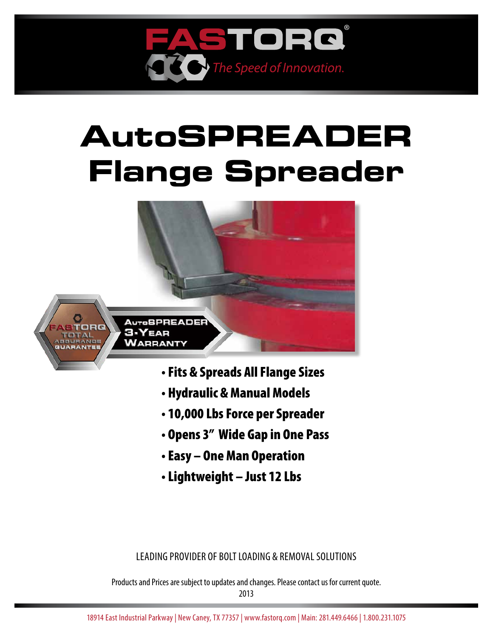

# **AutoSPREADER Flange Spreader**



- Fits & Spreads All Flange Sizes
- Hydraulic & Manual Models
- 10,000 Lbs Force per Spreader
- Opens 3" Wide Gap in One Pass
- Easy One Man Operation
- Lightweight Just 12 Lbs

Leading provider of bolt loading & removal solutions

Products and Prices are subject to updates and changes. Please contact us for current quote.

2013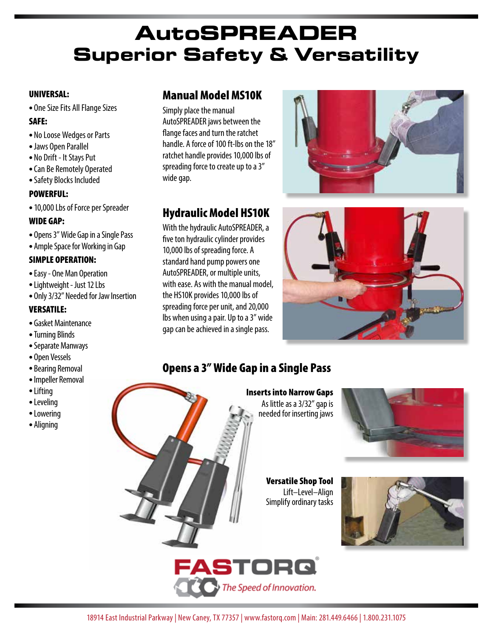# **AutoSPreader Superior Safety & Versatility**

#### UNIVERSAL:

• One Size Fits All Flange Sizes

#### SAFE:

- No Loose Wedges or Parts
- Jaws Open Parallel
- No Drift It Stays Put
- Can Be Remotely Operated
- •Safety Blocks Included

#### POWERFUL:

• 10,000 Lbs of Force per Spreader

#### WIDE GAP:

- Opens 3" Wide Gap in a Single Pass
- Ample Space for Working in Gap

#### SIMPLE OPERATION:

- •Easy One Man Operation
- Lightweight Just 12 Lbs
- Only 3/32" Needed for Jaw Insertion

#### VERSATILE:

- Gasket Maintenance
- •Turning Blinds
- •Separate Manways
- Open Vessels
- Bearing Removal
- •Impeller Removal
- Lifting
- Leveling
- Lowering
- Aligning

#### Manual Model MS10K

Simply place the manual AutoSPREADER jaws between the flange faces and turn the ratchet handle. A force of 100 ft-lbs on the 18" ratchet handle provides 10,000 lbs of spreading force to create up to a 3" wide gap.

# Hydraulic Model HS10K

With the hydraulic AutoSPREADER, a five ton hydraulic cylinder provides 10,000 lbs of spreading force. A standard hand pump powers one AutoSPREADER, or multiple units, with ease. As with the manual model, the HS10K provides 10,000 lbs of spreading force per unit, and 20,000 lbs when using a pair. Up to a 3" wide gap can be achieved in a single pass.





# Opens a 3" Wide Gap in a Single Pass

Inserts into Narrow Gaps As little as a 3/32" gap is needed for inserting jaws



Versatile Shop Tool Lift–Level–Align Simplify ordinary tasks



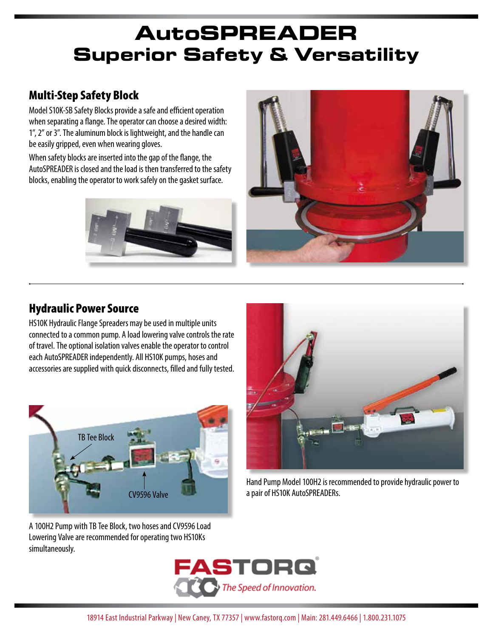# **AutoSPreader Superior Safety & Versatility**

# Multi-Step Safety Block

Model S10K-SB Safety Blocks provide a safe and efficient operation when separating a flange. The operator can choose a desired width: 1", 2" or 3". The aluminum block is lightweight, and the handle can be easily gripped, even when wearing gloves.

When safety blocks are inserted into the gap of the flange, the AutoSPREADER is closed and the load is then transferred to the safety blocks, enabling the operator to work safely on the gasket surface.





### Hydraulic Power Source

HS10K Hydraulic Flange Spreaders may be used in multiple units connected to a common pump. A load lowering valve controls the rate of travel. The optional isolation valves enable the operator to control each AutoSPREADER independently. All HS10K pumps, hoses and accessories are supplied with quick disconnects, filled and fully tested.





Hand Pump Model 100H2 is recommended to provide hydraulic power to a pair of HS10K AutoSPREADERs.

A 100H2 Pump with TB Tee Block, two hoses and CV9596 Load Lowering Valve are recommended for operating two HS10Ks simultaneously.

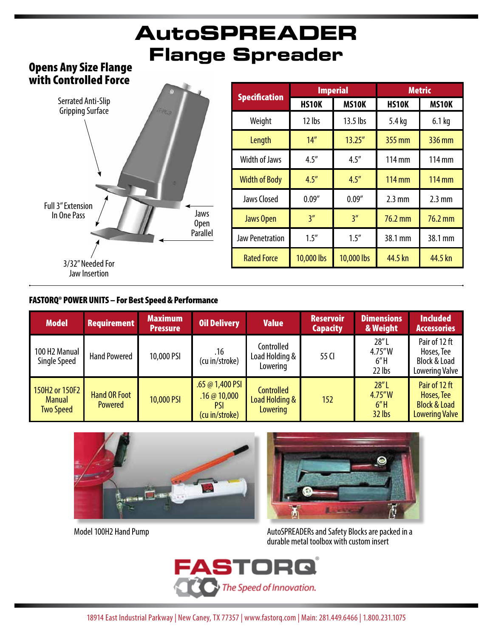# **AutoSPreader Flange Spreader**

#### Opens Any Size Flange with Controlled Force



| <b>Specification</b>   |              | <b>Imperial</b> | <b>Metric</b>    |                  |  |
|------------------------|--------------|-----------------|------------------|------------------|--|
|                        | <b>HS10K</b> | <b>MS10K</b>    | <b>HS10K</b>     | <b>MS10K</b>     |  |
| Weight                 | 12 lbs       | 13.5 lbs        | 5.4 kg           | $6.1$ kg         |  |
| Length                 | 14''         | 13.25''         | 355 mm           | 336 mm           |  |
| <b>Width of Jaws</b>   | 4.5''        | 4.5''           | 114 mm           | 114 mm           |  |
| <b>Width of Body</b>   | 4.5''        | 4.5''           | 114 mm           | 114 mm           |  |
| <b>Jaws Closed</b>     | 0.09''       | 0.09''          | $2.3 \text{ mm}$ | $2.3 \text{ mm}$ |  |
| <b>Jaws Open</b>       | 3''          | 3''             | 76.2 mm          | 76.2 mm          |  |
| <b>Jaw Penetration</b> | 1.5''        | 1.5''           | 38.1 mm          | 38.1 mm          |  |
| <b>Rated Force</b>     | 10,000 lbs   |                 | 44.5 kn          | 44.5 kn          |  |

#### FASTORQ® POWER UNITS – For Best Speed & Performance

| <b>Model</b>                                        | <b>Requirement</b>                    | <b>Maximum</b><br>Pressure | <b>Oil Delivery</b>                             | <b>Value</b>                                    | <b>Reservoir</b><br><b>Capacity</b> | <b>Dimensions</b><br>& Weight      | <b>Included</b><br><b>Accessories</b>                                           |
|-----------------------------------------------------|---------------------------------------|----------------------------|-------------------------------------------------|-------------------------------------------------|-------------------------------------|------------------------------------|---------------------------------------------------------------------------------|
| 100 H2 Manual<br>Single Speed                       | <b>Hand Powered</b>                   | 10,000 PSI                 | .16<br>(cu in/stroke)                           | Controlled<br>Load Holding &<br>Lowering        | 55 CI                               | 28''L<br>4.75''W<br>6''H<br>22 lbs | Pair of 12 ft<br>Hoses, Tee<br><b>Block &amp; Load</b><br><b>Lowering Valve</b> |
| 150H2 or 150F2<br><b>Manual</b><br><b>Two Speed</b> | <b>Hand OR Foot</b><br><b>Powered</b> | 10,000 PSI                 | .65 @ 1,400 PSI<br>.16@10,000<br>(cu in/stroke) | <b>Controlled</b><br>Load Holding &<br>Lowering | 152                                 | 28''L<br>4.75''W<br>6''H<br>32 lbs | Pair of 12 ft<br>Hoses, Tee<br><b>Block &amp; Load</b><br><b>Lowering Valve</b> |







Model 100H2 Hand Pump **AutoSPREADERs** and Safety Blocks are packed in a durable metal toolbox with custom insert

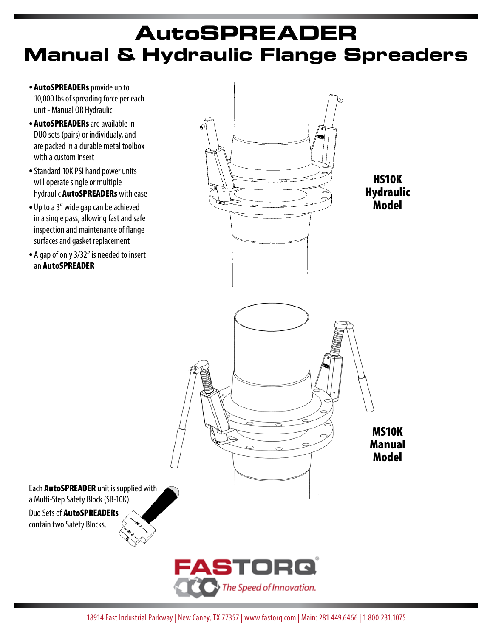# **AutoSPreader Manual & Hydraulic Flange Spreaders**

- AutoSPREADERs provide up to 10,000 lbs of spreading force per each unit - Manual OR Hydraulic
- AutoSPREADERs are available in DUO sets (pairs) or individualy, and are packed in a durable metal toolbox with a custom insert
- Standard 10K PSI hand power units will operate single or multiple hydraulic AutoSPREADERs with ease
- Up to a 3" wide gap can be achieved in a single pass, allowing fast and safe inspection and maintenance of flange surfaces and gasket replacement
- A gap of only 3/32" is needed to insert an AutoSPREADER

a Multi-Step Safety Block (SB-10K). Duo Sets of AutoSPREADERs contain two Safety Blocks.